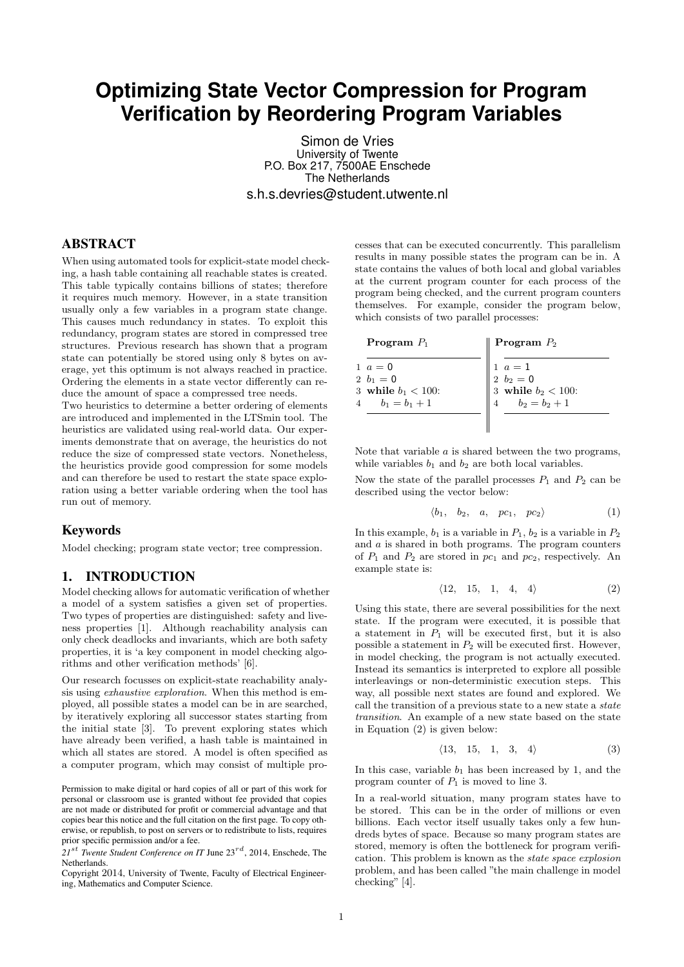# **Optimizing State Vector Compression for Program Verification by Reordering Program Variables**

Simon de Vries University of Twente P.O. Box 217, 7500AE Enschede The Netherlands s.h.s.devries@student.utwente.nl

# ABSTRACT

When using automated tools for explicit-state model checking, a hash table containing all reachable states is created. This table typically contains billions of states; therefore it requires much memory. However, in a state transition usually only a few variables in a program state change. This causes much redundancy in states. To exploit this redundancy, program states are stored in compressed tree structures. Previous research has shown that a program state can potentially be stored using only 8 bytes on average, yet this optimum is not always reached in practice. Ordering the elements in a state vector differently can reduce the amount of space a compressed tree needs.

Two heuristics to determine a better ordering of elements are introduced and implemented in the LTSmin tool. The heuristics are validated using real-world data. Our experiments demonstrate that on average, the heuristics do not reduce the size of compressed state vectors. Nonetheless, the heuristics provide good compression for some models and can therefore be used to restart the state space exploration using a better variable ordering when the tool has run out of memory.

# Keywords

Model checking; program state vector; tree compression.

## <span id="page-0-3"></span>1. INTRODUCTION

Model checking allows for automatic verification of whether a model of a system satisfies a given set of properties. Two types of properties are distinguished: safety and liveness properties [\[1\]](#page-8-0). Although reachability analysis can only check deadlocks and invariants, which are both safety properties, it is 'a key component in model checking algorithms and other verification methods' [\[6\]](#page-8-1).

Our research focusses on explicit-state reachability analysis using exhaustive exploration. When this method is employed, all possible states a model can be in are searched, by iteratively exploring all successor states starting from the initial state [\[3\]](#page-8-2). To prevent exploring states which have already been verified, a hash table is maintained in which all states are stored. A model is often specified as a computer program, which may consist of multiple pro-

Permission to make digital or hard copies of all or part of this work for personal or classroom use is granted without fee provided that copies are not made or distributed for profit or commercial advantage and that copies bear this notice and the full citation on the first page. To copy otherwise, or republish, to post on servers or to redistribute to lists, requires prior specific permission and/or a fee.

*21*st *Twente Student Conference on IT* June 23rd, 2014, Enschede, The Netherlands.

Copyright 2014, University of Twente, Faculty of Electrical Engineering, Mathematics and Computer Science.

cesses that can be executed concurrently. This parallelism results in many possible states the program can be in. A state contains the values of both local and global variables at the current program counter for each process of the program being checked, and the current program counters themselves. For example, consider the program below, which consists of two parallel processes:

| Program $P_1$                                                            | <b>Program</b> $P_2$                                                 |
|--------------------------------------------------------------------------|----------------------------------------------------------------------|
| $1 \, a = 0$<br>$2\,b_1=0$<br>3 while $b_1 < 100$ :<br>4 $b_1 = b_1 + 1$ | 1 $a = 1$<br>2 $b_2 = 0$<br>3 while $b_2 < 100$ :<br>$b_2 = b_2 + 1$ |
|                                                                          |                                                                      |

Note that variable  $a$  is shared between the two programs, while variables  $b_1$  and  $b_2$  are both local variables.

Now the state of the parallel processes  $P_1$  and  $P_2$  can be described using the vector below:

<span id="page-0-2"></span>
$$
\langle b_1, b_2, a, pc_1, pc_2 \rangle \tag{1}
$$

In this example,  $b_1$  is a variable in  $P_1$ ,  $b_2$  is a variable in  $P_2$ and a is shared in both programs. The program counters of  $P_1$  and  $P_2$  are stored in  $pc_1$  and  $pc_2$ , respectively. An example state is:

<span id="page-0-0"></span>
$$
\langle 12, 15, 1, 4, 4 \rangle \tag{2}
$$

Using this state, there are several possibilities for the next state. If the program were executed, it is possible that a statement in  $P_1$  will be executed first, but it is also possible a statement in  $P_2$  will be executed first. However, in model checking, the program is not actually executed. Instead its semantics is interpreted to explore all possible interleavings or non-deterministic execution steps. This way, all possible next states are found and explored. We call the transition of a previous state to a new state a *state* transition. An example of a new state based on the state in Equation [\(2\)](#page-0-0) is given below:

<span id="page-0-1"></span>
$$
\langle 13, 15, 1, 3, 4 \rangle \tag{3}
$$

In this case, variable  $b_1$  has been increased by 1, and the program counter of  $P_1$  is moved to line 3.

In a real-world situation, many program states have to be stored. This can be in the order of millions or even billions. Each vector itself usually takes only a few hundreds bytes of space. Because so many program states are stored, memory is often the bottleneck for program verification. This problem is known as the state space explosion problem, and has been called "the main challenge in model checking" [\[4\]](#page-8-3).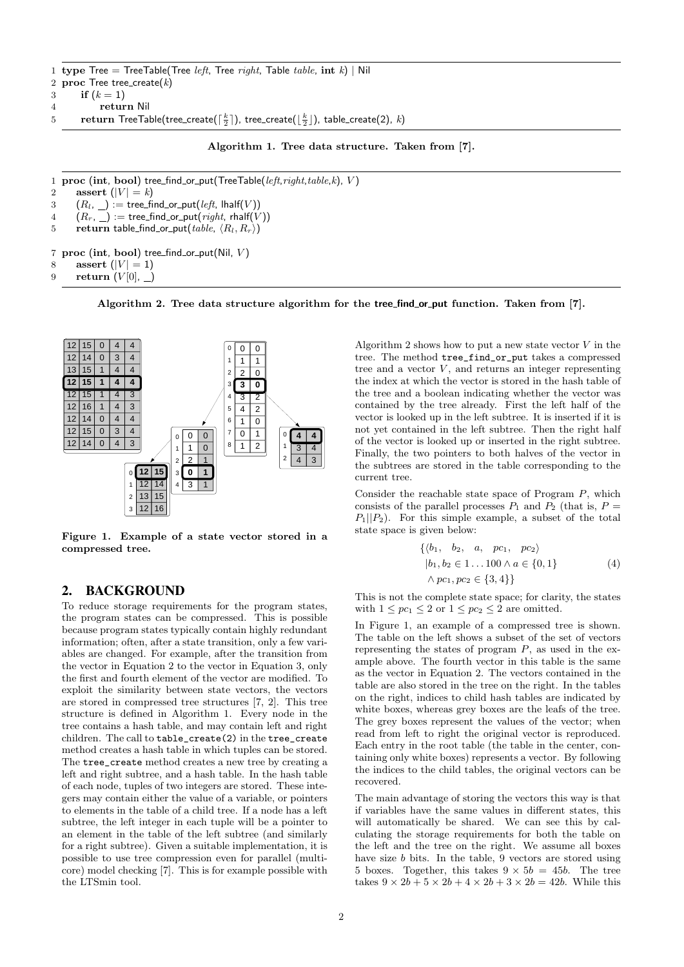- <span id="page-1-0"></span>1 type Tree = TreeTable(Tree *left*, Tree right, Table table, int k) | Nil 2 proc Tree tree\_create $(k)$
- 3 if  $(k = 1)$
- 4 return Nil
- $5$  return TreeTable(tree\_create( $\lceil \frac{k}{2} \rceil$ ), tree\_create( $\lfloor \frac{k}{2} \rfloor$ ), table\_create(2),  $k$ )

Algorithm 1. Tree data structure. Taken from [\[7\]](#page-8-4).

- <span id="page-1-1"></span>1 proc (int, bool) tree\_find\_or\_put(TreeTable(left,right,table,k), V)
- 2 assert  $(|V| = k)$
- 3  $(R_l, \_) := \text{tree\_find\_or\_put}(left, \, \text{lhalf}(V))$
- $4 (R_r, \_) := \text{tree\_find\_or\_put}(right, \text{right})$
- 5 return table find or put(table,  $\langle R_l, R_r \rangle$ )
- 7 proc (int, bool) tree\_find\_or\_put(Nil,  $V$ )
- 8 assert  $(|V| = 1)$

```
9 return (V[0], )
```
Algorithm 2. Tree data structure algorithm for the tree find or put function. Taken from [\[7\]](#page-8-4).



<span id="page-1-2"></span>Figure 1. Example of a state vector stored in a compressed tree.

## 2. BACKGROUND

To reduce storage requirements for the program states, the program states can be compressed. This is possible because program states typically contain highly redundant information; often, after a state transition, only a few variables are changed. For example, after the transition from the vector in Equation [2](#page-0-0) to the vector in Equation [3,](#page-0-1) only the first and fourth element of the vector are modified. To exploit the similarity between state vectors, the vectors are stored in compressed tree structures [\[7,](#page-8-4) [2\]](#page-8-5). This tree structure is defined in Algorithm [1.](#page-1-0) Every node in the tree contains a hash table, and may contain left and right children. The call to table\_create(2) in the tree\_create method creates a hash table in which tuples can be stored. The tree\_create method creates a new tree by creating a left and right subtree, and a hash table. In the hash table of each node, tuples of two integers are stored. These integers may contain either the value of a variable, or pointers to elements in the table of a child tree. If a node has a left subtree, the left integer in each tuple will be a pointer to an element in the table of the left subtree (and similarly for a right subtree). Given a suitable implementation, it is possible to use tree compression even for parallel (multicore) model checking [\[7\]](#page-8-4). This is for example possible with the LTSmin tool.

Algorithm [2](#page-1-1) shows how to put a new state vector  $V$  in the tree. The method tree\_find\_or\_put takes a compressed tree and a vector  $V$ , and returns an integer representing the index at which the vector is stored in the hash table of the tree and a boolean indicating whether the vector was contained by the tree already. First the left half of the vector is looked up in the left subtree. It is inserted if it is not yet contained in the left subtree. Then the right half of the vector is looked up or inserted in the right subtree. Finally, the two pointers to both halves of the vector in the subtrees are stored in the table corresponding to the current tree.

Consider the reachable state space of Program P, which consists of the parallel processes  $P_1$  and  $P_2$  (that is,  $P =$  $P_1||P_2$ . For this simple example, a subset of the total state space is given below:

$$
\begin{aligned}\n\{\langle b_1, b_2, a, pc_1, pc_2 \rangle \\
| b_1, b_2 \in 1 \dots 100 \land a \in \{0, 1\} \\
\land pc_1, pc_2 \in \{3, 4\}\n\end{aligned}
$$
\n(4)

This is not the complete state space; for clarity, the states with  $1 \leq pc_1 \leq 2$  or  $1 \leq pc_2 \leq 2$  are omitted.

In Figure [1,](#page-1-2) an example of a compressed tree is shown. The table on the left shows a subset of the set of vectors representing the states of program  $P$ , as used in the example above. The fourth vector in this table is the same as the vector in Equation [2.](#page-0-0) The vectors contained in the table are also stored in the tree on the right. In the tables on the right, indices to child hash tables are indicated by white boxes, whereas grey boxes are the leafs of the tree. The grey boxes represent the values of the vector; when read from left to right the original vector is reproduced. Each entry in the root table (the table in the center, containing only white boxes) represents a vector. By following the indices to the child tables, the original vectors can be recovered.

The main advantage of storing the vectors this way is that if variables have the same values in different states, this will automatically be shared. We can see this by calculating the storage requirements for both the table on the left and the tree on the right. We assume all boxes have size b bits. In the table, 9 vectors are stored using 5 boxes. Together, this takes  $9 \times 5b = 45b$ . The tree takes  $9 \times 2b + 5 \times 2b + 4 \times 2b + 3 \times 2b = 42b$ . While this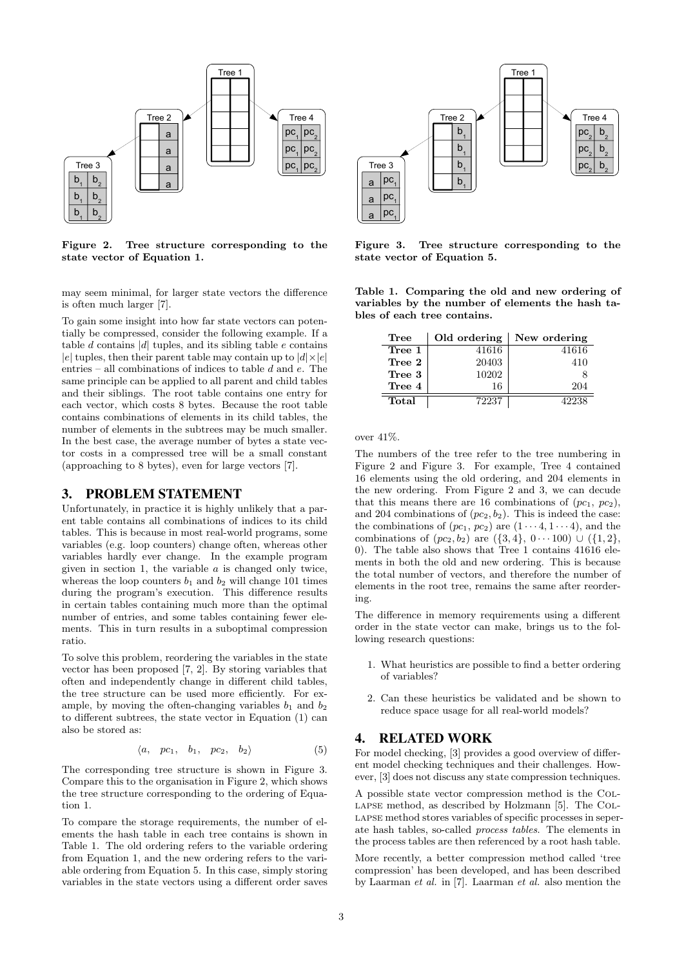

<span id="page-2-1"></span>Figure 2. Tree structure corresponding to the state vector of Equation [1.](#page-0-2)

may seem minimal, for larger state vectors the difference is often much larger [\[7\]](#page-8-4).

To gain some insight into how far state vectors can potentially be compressed, consider the following example. If a table  $d$  contains  $|d|$  tuples, and its sibling table  $e$  contains |e| tuples, then their parent table may contain up to  $|d| \times |e|$ entries – all combinations of indices to table  $d$  and  $e$ . The same principle can be applied to all parent and child tables and their siblings. The root table contains one entry for each vector, which costs 8 bytes. Because the root table contains combinations of elements in its child tables, the number of elements in the subtrees may be much smaller. In the best case, the average number of bytes a state vector costs in a compressed tree will be a small constant (approaching to 8 bytes), even for large vectors [\[7\]](#page-8-4).

## 3. PROBLEM STATEMENT

Unfortunately, in practice it is highly unlikely that a parent table contains all combinations of indices to its child tables. This is because in most real-world programs, some variables (e.g. loop counters) change often, whereas other variables hardly ever change. In the example program given in section [1,](#page-0-3) the variable  $a$  is changed only twice, whereas the loop counters  $b_1$  and  $b_2$  will change 101 times during the program's execution. This difference results in certain tables containing much more than the optimal number of entries, and some tables containing fewer elements. This in turn results in a suboptimal compression ratio.

To solve this problem, reordering the variables in the state vector has been proposed [\[7,](#page-8-4) [2\]](#page-8-5). By storing variables that often and independently change in different child tables, the tree structure can be used more efficiently. For example, by moving the often-changing variables  $b_1$  and  $b_2$ to different subtrees, the state vector in Equation [\(1\)](#page-0-2) can also be stored as:

<span id="page-2-3"></span>
$$
\langle a, pc_1, b_1, pc_2, b_2 \rangle \tag{5}
$$

The corresponding tree structure is shown in Figure [3.](#page-2-0) Compare this to the organisation in Figure [2,](#page-2-1) which shows the tree structure corresponding to the ordering of Equation [1.](#page-0-2)

To compare the storage requirements, the number of elements the hash table in each tree contains is shown in Table [1.](#page-2-2) The old ordering refers to the variable ordering from Equation [1,](#page-0-2) and the new ordering refers to the variable ordering from Equation [5.](#page-2-3) In this case, simply storing variables in the state vectors using a different order saves



<span id="page-2-0"></span>Figure 3. Tree structure corresponding to the state vector of Equation [5.](#page-2-3)

<span id="page-2-2"></span>Table 1. Comparing the old and new ordering of variables by the number of elements the hash tables of each tree contains.

| Tree   | Old ordering | New ordering |
|--------|--------------|--------------|
| Tree 1 | 41616        | 41616        |
| Tree 2 | 20403        | 410          |
| Tree 3 | 10202        |              |
| Tree 4 | 16           | 204          |
| Total  | 72237        | 42238        |

over 41%.

The numbers of the tree refer to the tree numbering in Figure [2](#page-2-1) and Figure [3.](#page-2-0) For example, Tree 4 contained 16 elements using the old ordering, and 204 elements in the new ordering. From Figure [2](#page-2-1) and [3,](#page-2-0) we can decude that this means there are 16 combinations of  $(pc_1, pc_2)$ , and 204 combinations of  $(pc_2, b_2)$ . This is indeed the case: the combinations of  $(pc_1, pc_2)$  are  $(1 \cdots 4, 1 \cdots 4)$ , and the combinations of  $(pc_2, b_2)$  are  $({3, 4}, 0 \cdots 100) \cup ({1, 2},$ 0). The table also shows that Tree 1 contains 41616 elements in both the old and new ordering. This is because the total number of vectors, and therefore the number of elements in the root tree, remains the same after reordering.

The difference in memory requirements using a different order in the state vector can make, brings us to the following research questions:

- 1. What heuristics are possible to find a better ordering of variables?
- 2. Can these heuristics be validated and be shown to reduce space usage for all real-world models?

# 4. RELATED WORK

For model checking, [\[3\]](#page-8-2) provides a good overview of different model checking techniques and their challenges. However, [\[3\]](#page-8-2) does not discuss any state compression techniques.

A possible state vector compression method is the Collapse method, as described by Holzmann [\[5\]](#page-8-6). The Collapse method stores variables of specific processes in seperate hash tables, so-called process tables. The elements in the process tables are then referenced by a root hash table.

More recently, a better compression method called 'tree compression' has been developed, and has been described by Laarman et al. in [\[7\]](#page-8-4). Laarman et al. also mention the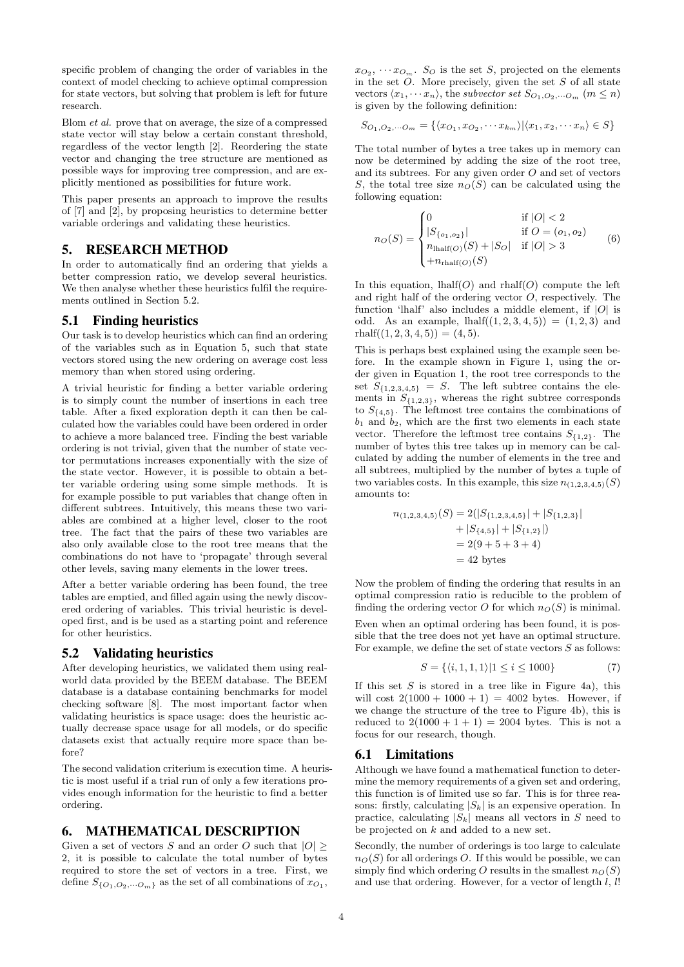specific problem of changing the order of variables in the context of model checking to achieve optimal compression for state vectors, but solving that problem is left for future research.

Blom et al. prove that on average, the size of a compressed state vector will stay below a certain constant threshold, regardless of the vector length [\[2\]](#page-8-5). Reordering the state vector and changing the tree structure are mentioned as possible ways for improving tree compression, and are explicitly mentioned as possibilities for future work.

This paper presents an approach to improve the results of [\[7\]](#page-8-4) and [\[2\]](#page-8-5), by proposing heuristics to determine better variable orderings and validating these heuristics.

# 5. RESEARCH METHOD

In order to automatically find an ordering that yields a better compression ratio, we develop several heuristics. We then analyse whether these heuristics fulfil the requirements outlined in Section [5.2.](#page-3-0)

#### 5.1 Finding heuristics

Our task is to develop heuristics which can find an ordering of the variables such as in Equation [5,](#page-2-3) such that state vectors stored using the new ordering on average cost less memory than when stored using ordering.

A trivial heuristic for finding a better variable ordering is to simply count the number of insertions in each tree table. After a fixed exploration depth it can then be calculated how the variables could have been ordered in order to achieve a more balanced tree. Finding the best variable ordering is not trivial, given that the number of state vector permutations increases exponentially with the size of the state vector. However, it is possible to obtain a better variable ordering using some simple methods. It is for example possible to put variables that change often in different subtrees. Intuitively, this means these two variables are combined at a higher level, closer to the root tree. The fact that the pairs of these two variables are also only available close to the root tree means that the combinations do not have to 'propagate' through several other levels, saving many elements in the lower trees.

After a better variable ordering has been found, the tree tables are emptied, and filled again using the newly discovered ordering of variables. This trivial heuristic is developed first, and is be used as a starting point and reference for other heuristics.

#### <span id="page-3-0"></span>5.2 Validating heuristics

After developing heuristics, we validated them using realworld data provided by the BEEM database. The BEEM database is a database containing benchmarks for model checking software [\[8\]](#page-8-7). The most important factor when validating heuristics is space usage: does the heuristic actually decrease space usage for all models, or do specific datasets exist that actually require more space than before?

The second validation criterium is execution time. A heuristic is most useful if a trial run of only a few iterations provides enough information for the heuristic to find a better ordering.

## 6. MATHEMATICAL DESCRIPTION

Given a set of vectors S and an order O such that  $|O| \geq$ 2, it is possible to calculate the total number of bytes required to store the set of vectors in a tree. First, we define  $S_{\{O_1,O_2,\dots O_m\}}$  as the set of all combinations of  $x_{O_1}$ ,

 $x_{O_2}, \cdots x_{O_m}$ . S<sub>O</sub> is the set S, projected on the elements in the set  $O$ . More precisely, given the set  $S$  of all state vectors  $\langle x_1, \cdots x_n \rangle$ , the subvector set  $S_{O_1, O_2, \cdots O_m}$   $(m \leq n)$ is given by the following definition:

$$
S_{O_1,O_2,\cdots O_m} = \{ \langle x_{O_1}, x_{O_2}, \cdots x_{k_m} \rangle | \langle x_1, x_2, \cdots x_n \rangle \in S \}
$$

The total number of bytes a tree takes up in memory can now be determined by adding the size of the root tree, and its subtrees. For any given order  $O$  and set of vectors S, the total tree size  $n_O(S)$  can be calculated using the following equation:

$$
n_O(S) = \begin{cases} 0 & \text{if } |O| < 2\\ |S_{\{o_1, o_2\}}| & \text{if } O = (o_1, o_2)\\ n_{\text{lhalf}(O)}(S) + |S_O| & \text{if } |O| > 3\\ +n_{\text{rhalf}(O)}(S) & \end{cases}
$$
(6)

In this equation, lhalf( $O$ ) and rhalf( $O$ ) compute the left and right half of the ordering vector  $O$ , respectively. The function 'lhalf' also includes a middle element, if  $|O|$  is odd. As an example,  $\text{half}((1, 2, 3, 4, 5)) = (1, 2, 3)$  and rhalf $((1, 2, 3, 4, 5)) = (4, 5).$ 

This is perhaps best explained using the example seen before. In the example shown in Figure [1,](#page-1-2) using the order given in Equation [1,](#page-0-2) the root tree corresponds to the set  $\overline{S}_{\{1,2,3,4,5\}} = S$ . The left subtree contains the elements in  $S_{\{1,2,3\}}$ , whereas the right subtree corresponds to  $S_{\{4,5\}}$ . The leftmost tree contains the combinations of  $b_1$  and  $b_2$ , which are the first two elements in each state vector. Therefore the leftmost tree contains  $S_{\{1,2\}}$ . The number of bytes this tree takes up in memory can be calculated by adding the number of elements in the tree and all subtrees, multiplied by the number of bytes a tuple of two variables costs. In this example, this size  $n_{(1,2,3,4,5)}(S)$ amounts to:

$$
n_{(1,2,3,4,5)}(S) = 2(|S_{\{1,2,3,4,5\}}| + |S_{\{1,2,3\}}| + |S_{\{1,2,3\}}| + |S_{\{4,5\}}| + |S_{\{1,2\}}|)
$$
  
= 2(9 + 5 + 3 + 4)  
= 42 bytes

Now the problem of finding the ordering that results in an optimal compression ratio is reducible to the problem of finding the ordering vector O for which  $n<sub>O</sub>(S)$  is minimal.

Even when an optimal ordering has been found, it is possible that the tree does not yet have an optimal structure. For example, we define the set of state vectors  $S$  as follows:

$$
S = \{ \langle i, 1, 1, 1 \rangle | 1 \le i \le 1000 \}
$$
 (7)

If this set  $S$  is stored in a tree like in Figure [4a](#page-4-0)), this will cost  $2(1000 + 1000 + 1) = 4002$  bytes. However, if we change the structure of the tree to Figure [4b](#page-4-0)), this is reduced to  $2(1000 + 1 + 1) = 2004$  bytes. This is not a focus for our research, though.

#### 6.1 Limitations

Although we have found a mathematical function to determine the memory requirements of a given set and ordering, this function is of limited use so far. This is for three reasons: firstly, calculating  $|S_k|$  is an expensive operation. In practice, calculating  $|S_k|$  means all vectors in S need to be projected on k and added to a new set.

Secondly, the number of orderings is too large to calculate  $n<sub>O</sub>(S)$  for all orderings O. If this would be possible, we can simply find which ordering O results in the smallest  $n_O(S)$ and use that ordering. However, for a vector of length  $l, l!$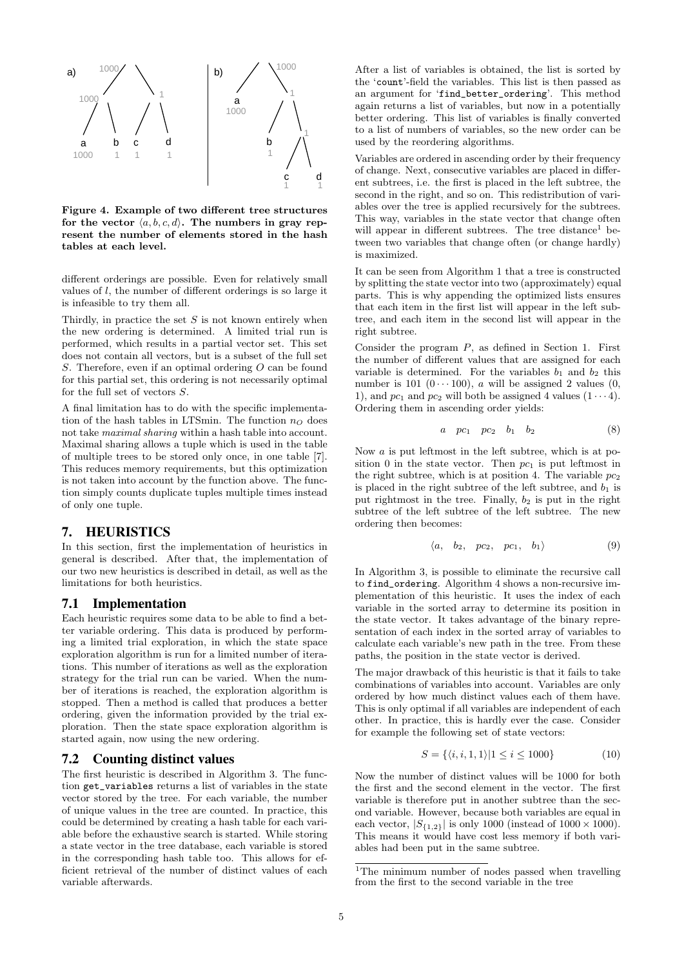

<span id="page-4-0"></span>Figure 4. Example of two different tree structures for the vector  $\langle a, b, c, d \rangle$ . The numbers in gray represent the number of elements stored in the hash tables at each level.

different orderings are possible. Even for relatively small values of  $l$ , the number of different orderings is so large it is infeasible to try them all.

Thirdly, in practice the set  $S$  is not known entirely when the new ordering is determined. A limited trial run is performed, which results in a partial vector set. This set does not contain all vectors, but is a subset of the full set S. Therefore, even if an optimal ordering O can be found for this partial set, this ordering is not necessarily optimal for the full set of vectors S.

A final limitation has to do with the specific implementation of the hash tables in LTSmin. The function  $n_Q$  does not take maximal sharing within a hash table into account. Maximal sharing allows a tuple which is used in the table of multiple trees to be stored only once, in one table [\[7\]](#page-8-4). This reduces memory requirements, but this optimization is not taken into account by the function above. The function simply counts duplicate tuples multiple times instead of only one tuple.

# 7. HEURISTICS

In this section, first the implementation of heuristics in general is described. After that, the implementation of our two new heuristics is described in detail, as well as the limitations for both heuristics.

#### 7.1 Implementation

Each heuristic requires some data to be able to find a better variable ordering. This data is produced by performing a limited trial exploration, in which the state space exploration algorithm is run for a limited number of iterations. This number of iterations as well as the exploration strategy for the trial run can be varied. When the number of iterations is reached, the exploration algorithm is stopped. Then a method is called that produces a better ordering, given the information provided by the trial exploration. Then the state space exploration algorithm is started again, now using the new ordering.

#### <span id="page-4-2"></span>7.2 Counting distinct values

The first heuristic is described in Algorithm [3.](#page-5-0) The function get\_variables returns a list of variables in the state vector stored by the tree. For each variable, the number of unique values in the tree are counted. In practice, this could be determined by creating a hash table for each variable before the exhaustive search is started. While storing a state vector in the tree database, each variable is stored in the corresponding hash table too. This allows for efficient retrieval of the number of distinct values of each variable afterwards.

After a list of variables is obtained, the list is sorted by the 'count'-field the variables. This list is then passed as an argument for 'find\_better\_ordering'. This method again returns a list of variables, but now in a potentially better ordering. This list of variables is finally converted to a list of numbers of variables, so the new order can be used by the reordering algorithms.

Variables are ordered in ascending order by their frequency of change. Next, consecutive variables are placed in different subtrees, i.e. the first is placed in the left subtree, the second in the right, and so on. This redistribution of variables over the tree is applied recursively for the subtrees. This way, variables in the state vector that change often will appear in different subtrees. The tree distance<sup>[1](#page-4-1)</sup> between two variables that change often (or change hardly) is maximized.

It can be seen from Algorithm [1](#page-1-0) that a tree is constructed by splitting the state vector into two (approximately) equal parts. This is why appending the optimized lists ensures that each item in the first list will appear in the left subtree, and each item in the second list will appear in the right subtree.

Consider the program  $P$ , as defined in Section [1.](#page-0-3) First the number of different values that are assigned for each variable is determined. For the variables  $b_1$  and  $b_2$  this number is 101  $(0 \cdots 100)$ , *a* will be assigned 2 values  $(0, 0)$ 1), and  $pc_1$  and  $pc_2$  will both be assigned 4 values  $(1 \cdots 4)$ . Ordering them in ascending order yields:

$$
a \quad pc_1 \quad pc_2 \quad b_1 \quad b_2 \tag{8}
$$

Now  $a$  is put leftmost in the left subtree, which is at position 0 in the state vector. Then  $pc<sub>1</sub>$  is put leftmost in the right subtree, which is at position 4. The variable  $pc<sub>2</sub>$ is placed in the right subtree of the left subtree, and  $b_1$  is put rightmost in the tree. Finally,  $b_2$  is put in the right subtree of the left subtree of the left subtree. The new ordering then becomes:

$$
\langle a, b_2, pc_2, pc_1, b_1 \rangle \tag{9}
$$

In Algorithm [3,](#page-5-0) is possible to eliminate the recursive call to find\_ordering. Algorithm [4](#page-5-1) shows a non-recursive implementation of this heuristic. It uses the index of each variable in the sorted array to determine its position in the state vector. It takes advantage of the binary representation of each index in the sorted array of variables to calculate each variable's new path in the tree. From these paths, the position in the state vector is derived.

The major drawback of this heuristic is that it fails to take combinations of variables into account. Variables are only ordered by how much distinct values each of them have. This is only optimal if all variables are independent of each other. In practice, this is hardly ever the case. Consider for example the following set of state vectors:

$$
S = \{ \langle i, i, 1, 1 \rangle | 1 \le i \le 1000 \}
$$
 (10)

Now the number of distinct values will be 1000 for both the first and the second element in the vector. The first variable is therefore put in another subtree than the second variable. However, because both variables are equal in each vector,  $|S_{\{1,2\}}|$  is only 1000 (instead of 1000  $\times$  1000). This means it would have cost less memory if both variables had been put in the same subtree.

<span id="page-4-1"></span><sup>&</sup>lt;sup>1</sup>The minimum number of nodes passed when travelling from the first to the second variable in the tree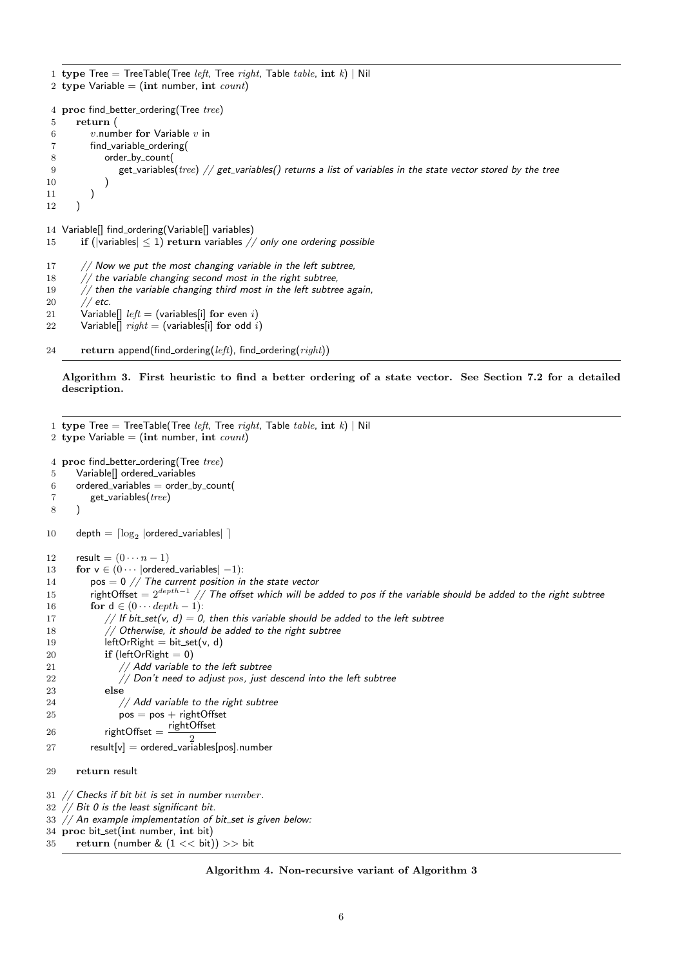<span id="page-5-0"></span>1 type Tree = TreeTable(Tree *left*, Tree right, Table table, int k) | Nil 2 type Variable  $=$  (int number, int *count*) 4 proc find\_better\_ordering(Tree tree) 5 return ( 6  $v$ .number for Variable  $v$  in 7 find\_variable\_ordering( 8 order by count( 9 get\_variables(tree) // get\_variables() returns a list of variables in the state vector stored by the tree 10 ) 11 ) 12 ) 14 Variable[] find\_ordering(Variable[] variables) 15 if (|variables|  $\leq$  1) return variables // only one ordering possible  $17$  // Now we put the most changing variable in the left subtree,  $18$  // the variable changing second most in the right subtree,

19  $//$  then the variable changing third most in the left subtree again,

20 // *etc.* 

- 21 Variable<sup>[]</sup>  $left =$  (variables<sup>[i]</sup> for even i)
- 22 Variable<sup>[]</sup>  $right =$  (variables<sup>[i]</sup> for odd i)
- 24 return append(find\_ordering( $left$ ), find\_ordering( $right$ ))

Algorithm 3. First heuristic to find a better ordering of a state vector. See Section [7.2](#page-4-2) for a detailed description.

<span id="page-5-1"></span>1 type Tree = TreeTable(Tree *left*, Tree *right*, Table *table*,  $int k$ ) | Nil 2 type Variable  $=$  (int number, int count) 4 proc find\_better\_ordering(Tree tree) 5 Variable<sup>[]</sup> ordered\_variables 6 ordered\_variables  $=$  order\_by\_count(  $7$  get\_variables( $tree$ ) 8 ) 10 depth  $= \lceil \log_2 \rceil$ ordered\_variables $| \rceil$ 12 result =  $(0 \cdots n-1)$ 13 for  $v \in (0 \cdots)$  ordered\_variables $|-1$ ): 14  $pos = 0 // The current position in the state vector$ 15 rightOffset  $= 2^{depth-1}$  // The offset which will be added to pos if the variable should be added to the right subtree 16 **for**  $d \in (0 \cdots depth - 1)$ : 17 // If bit\_set(v, d) = 0, then this variable should be added to the left subtree 18  $//$  Otherwise, it should be added to the right subtree 19 leftOrRight =  $bit_set(v, d)$ 20 if (leftOrRight  $= 0$ ) 21  $//$  Add variable to the left subtree 22  $\frac{1}{2}$  // Don't need to adjust pos, just descend into the left subtree 23 else 24 // Add variable to the right subtree  $25$  pos = pos + rightOffset 26 rightOffset =  $\frac{\text{rightOffset}}{2}$  $27$  result $[v] =$  ordered\_variables[pos].number 29 return result  $31$  // Checks if bit bit is set in number number.  $32$  // Bit 0 is the least significant bit.  $33$  // An example implementation of bit\_set is given below: 34 proc bit\_set(int number, int bit) 35 return (number &  $(1 << bit)) >> bit$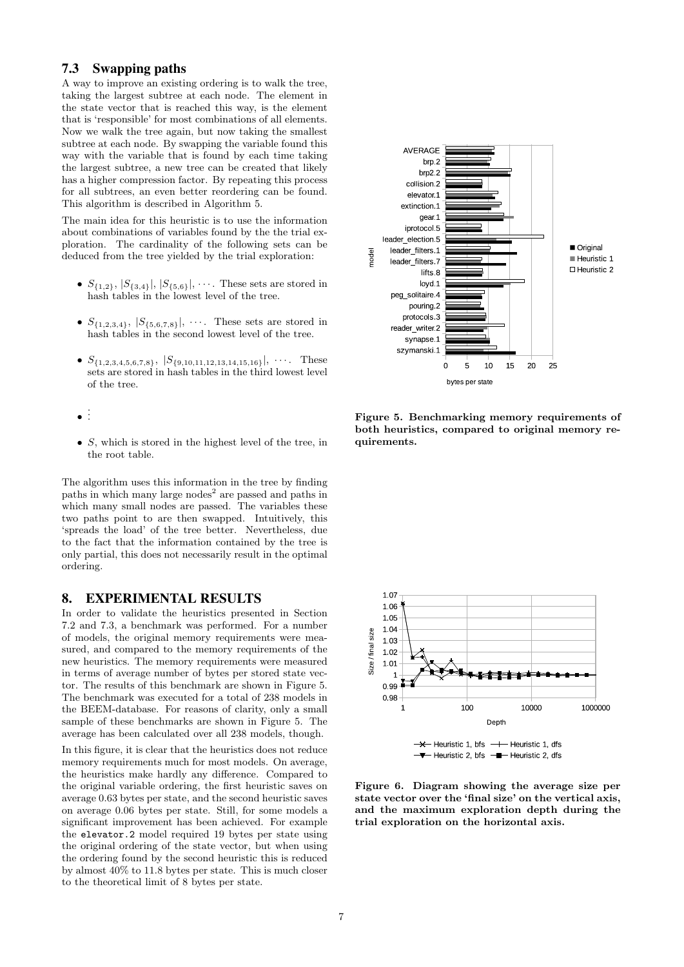# <span id="page-6-0"></span>7.3 Swapping paths

A way to improve an existing ordering is to walk the tree, taking the largest subtree at each node. The element in the state vector that is reached this way, is the element that is 'responsible' for most combinations of all elements. Now we walk the tree again, but now taking the smallest subtree at each node. By swapping the variable found this way with the variable that is found by each time taking the largest subtree, a new tree can be created that likely has a higher compression factor. By repeating this process for all subtrees, an even better reordering can be found. This algorithm is described in Algorithm [5.](#page-7-0)

The main idea for this heuristic is to use the information about combinations of variables found by the the trial exploration. The cardinality of the following sets can be deduced from the tree yielded by the trial exploration:

- $S_{\{1,2\}}, |S_{\{3,4\}}|, |S_{\{5,6\}}|, \cdots$  These sets are stored in hash tables in the lowest level of the tree.
- $S_{\{1,2,3,4\}}, |S_{\{5,6,7,8\}}|, \cdots$ . These sets are stored in hash tables in the second lowest level of the tree.
- $S_{\{1,2,3,4,5,6,7,8\}}, |S_{\{9,10,11,12,13,14,15,16\}}, \cdots$ . These sets are stored in hash tables in the third lowest level of the tree.
- . . .
- $S$ , which is stored in the highest level of the tree, in the root table.

The algorithm uses this information in the tree by finding paths in which many large nodes<sup>[2](#page-8-8)</sup> are passed and paths in which many small nodes are passed. The variables these two paths point to are then swapped. Intuitively, this 'spreads the load' of the tree better. Nevertheless, due to the fact that the information contained by the tree is only partial, this does not necessarily result in the optimal ordering.

#### 8. EXPERIMENTAL RESULTS

In order to validate the heuristics presented in Section [7.2](#page-4-2) and [7.3,](#page-6-0) a benchmark was performed. For a number of models, the original memory requirements were measured, and compared to the memory requirements of the new heuristics. The memory requirements were measured in terms of average number of bytes per stored state vector. The results of this benchmark are shown in Figure [5.](#page-6-1) The benchmark was executed for a total of 238 models in the BEEM-database. For reasons of clarity, only a small sample of these benchmarks are shown in Figure [5.](#page-6-1) The average has been calculated over all 238 models, though.

In this figure, it is clear that the heuristics does not reduce memory requirements much for most models. On average, the heuristics make hardly any difference. Compared to the original variable ordering, the first heuristic saves on average 0.63 bytes per state, and the second heuristic saves on average 0.06 bytes per state. Still, for some models a significant improvement has been achieved. For example the elevator.2 model required 19 bytes per state using the original ordering of the state vector, but when using the ordering found by the second heuristic this is reduced by almost 40% to 11.8 bytes per state. This is much closer to the theoretical limit of 8 bytes per state.



<span id="page-6-1"></span>Figure 5. Benchmarking memory requirements of both heuristics, compared to original memory requirements.



<span id="page-6-2"></span>Figure 6. Diagram showing the average size per state vector over the 'final size' on the vertical axis, and the maximum exploration depth during the trial exploration on the horizontal axis.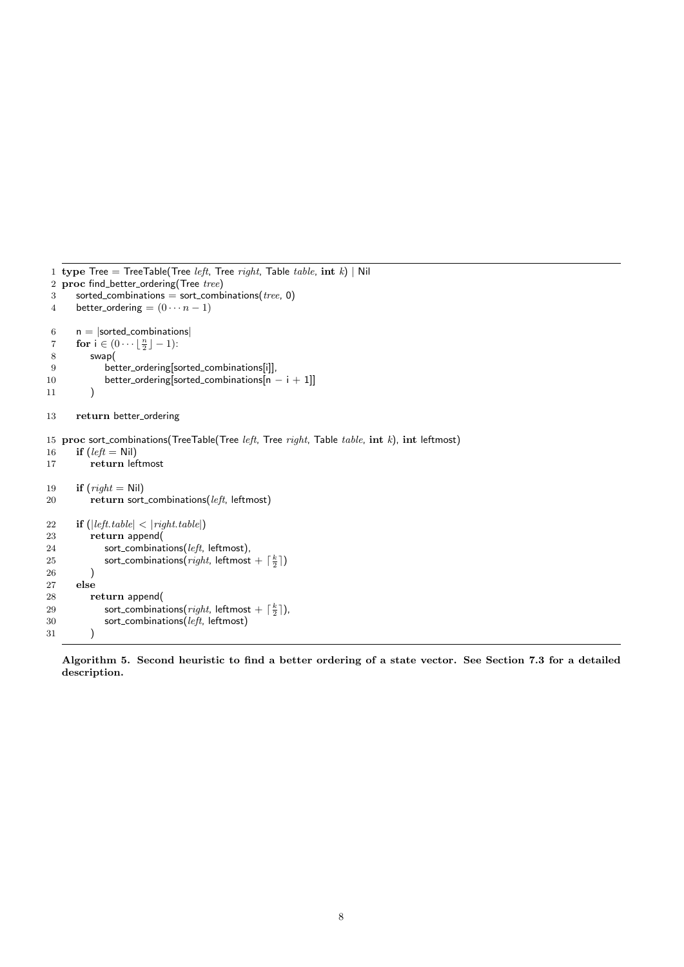```
1 type Tree = TreeTable(Tree left, Tree right, Table table, int k) | Nil 2 proc find_better_ordering(Tree tree)
   proc find_better_ordering(Tree tree)
 3 sorted_combinations = sort_combinations(tree, 0)
4 better_ordering = (0 \cdots n-1)6 \qquad n = |sorted\_combinations|7 for i \in (0 \cdots \lfloor \frac{n}{2} \rfloor - 1):
8 swap(
9 better ordering[sorted combinations[i]],
10 better_ordering[sorted_combinations[n − i + 1]]
11 )
13 return better_ordering
15 proc sort_combinations(TreeTable(Tree left, Tree right, Table table, int k), int leftmost)
16 if (left = Nil)17 return leftmost
19 if (right = Nil)20 return sort_combinations(left, leftmost)
22 if (|left.table| < |right.table|)<br>23 return append
23 return append<br>
24 sort_combinat
             sort_combinations(left, leftmost),
25 sort_combinations(right, leftmost + \lceil \frac{k}{2} \rceil)
26 )
27 else
28 return append(
29 sort_combinations(right, leftmost + \lceil \frac{k}{2} \rceil),
30 sort_combinations(left, leftmost)
31 )
```
Algorithm 5. Second heuristic to find a better ordering of a state vector. See Section [7.3](#page-6-0) for a detailed description.